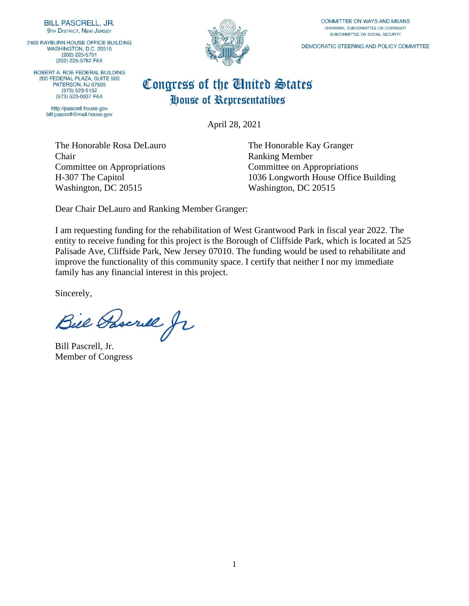2409 RAYBURN HOUSE OFFICE BUILDING WASHINGTON, D.C. 20515  $(202)$  225-5751 (202) 225-5782 FAX

ROBERT A. ROE FEDERAL BUILDING 200 FEDERAL PLAZA, SUITE 500 PATERSON, NJ 07505  $(973) 523 - 5152$ (973) 523-0637 FAX

> http://pascrell.house.gov bill.pascrell@mail.house.gov



#### COMMITTEE ON WAYS AND MEANS CHAIRMAN, SUBCOMMITTEE ON OVERSIGHT SUBCOMMITTEE ON SOCIAL SECURITY

DEMOCRATIC STEERING AND POLICY COMMITTEE

### Congress of the United States House of Representatives

April 28, 2021

The Honorable Rosa DeLauro The Honorable Kay Granger Chair Ranking Member Committee on Appropriations Committee on Appropriations Washington, DC 20515 Washington, DC 20515

H-307 The Capitol 1036 Longworth House Office Building

Dear Chair DeLauro and Ranking Member Granger:

I am requesting funding for the rehabilitation of West Grantwood Park in fiscal year 2022. The entity to receive funding for this project is the Borough of Cliffside Park, which is located at 525 Palisade Ave, Cliffside Park, New Jersey 07010. The funding would be used to rehabilitate and improve the functionality of this community space. I certify that neither I nor my immediate family has any financial interest in this project.

Bill Pascrill Jr

Bill Pascrell, Jr. Member of Congress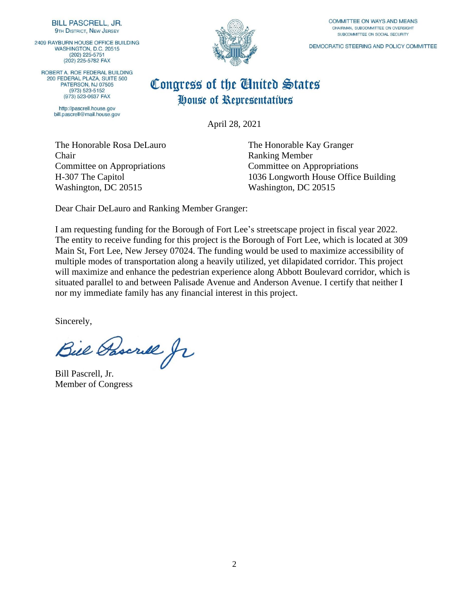2409 RAYBURN HOUSE OFFICE BUILDING WASHINGTON, D.C. 20515  $(202)$  225-5751 (202) 225-5782 FAX

ROBERT A. ROE FEDERAL BUILDING 200 FEDERAL PLAZA, SUITE 500 PATERSON, NJ 07505 (973) 523-5152 (973) 523-0637 FAX

> http://pascrell.house.gov bill.pascrell@mail.house.gov



COMMITTEE ON WAYS AND MEANS CHAIRMAN, SUBCOMMITTEE ON OVERSIGHT SUBCOMMITTEE ON SOCIAL SECURITY

DEMOCRATIC STEERING AND POLICY COMMITTEE

#### Congress of the United States House of Representatives

April 28, 2021

The Honorable Rosa DeLauro The Honorable Kay Granger **Chair** Ranking Member Committee on Appropriations Committee on Appropriations Washington, DC 20515 Washington, DC 20515

H-307 The Capitol 1036 Longworth House Office Building

Dear Chair DeLauro and Ranking Member Granger:

I am requesting funding for the Borough of Fort Lee's streetscape project in fiscal year 2022. The entity to receive funding for this project is the Borough of Fort Lee, which is located at 309 Main St, Fort Lee, New Jersey 07024. The funding would be used to maximize accessibility of multiple modes of transportation along a heavily utilized, yet dilapidated corridor. This project will maximize and enhance the pedestrian experience along Abbott Boulevard corridor, which is situated parallel to and between Palisade Avenue and Anderson Avenue. I certify that neither I nor my immediate family has any financial interest in this project.

Bill Pascrill fr

Bill Pascrell, Jr. Member of Congress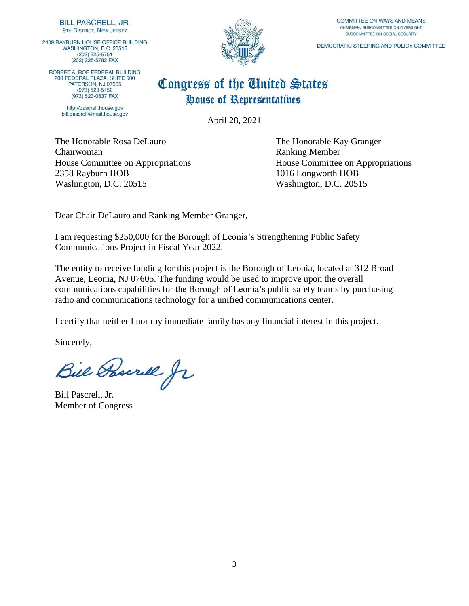2409 RAYBURN HOUSE OFFICE BUILDING WASHINGTON, D.C. 20515  $(202)$  225-5751 (202) 225-5782 FAX

ROBERT A. ROE FEDERAL BUILDING 200 FEDERAL PLAZA, SUITE 500 PATERSON, NJ 07505  $(973) 523 - 5152$ (973) 523-0637 FAX

> http://pascrell.house.gov bill.pascrell@mail.house.gov



COMMITTEE ON WAYS AND MEANS CHAIRMAN, SUBCOMMITTEE ON OVERSIGHT SUBCOMMITTEE ON SOCIAL SECURITY

DEMOCRATIC STEERING AND POLICY COMMITTEE

### Congress of the Cluited States House of Representatives

April 28, 2021

The Honorable Rosa DeLauro The Honorable Kay Granger Chairwoman Ranking Member 2358 Rayburn HOB 1016 Longworth HOB Washington, D.C. 20515 Washington, D.C. 20515

House Committee on Appropriations House Committee on Appropriations

Dear Chair DeLauro and Ranking Member Granger,

I am requesting \$250,000 for the Borough of Leonia's Strengthening Public Safety Communications Project in Fiscal Year 2022.

The entity to receive funding for this project is the Borough of Leonia, located at 312 Broad Avenue, Leonia, NJ 07605. The funding would be used to improve upon the overall communications capabilities for the Borough of Leonia's public safety teams by purchasing radio and communications technology for a unified communications center.

I certify that neither I nor my immediate family has any financial interest in this project.

Bill Pascrill fr

Bill Pascrell, Jr. Member of Congress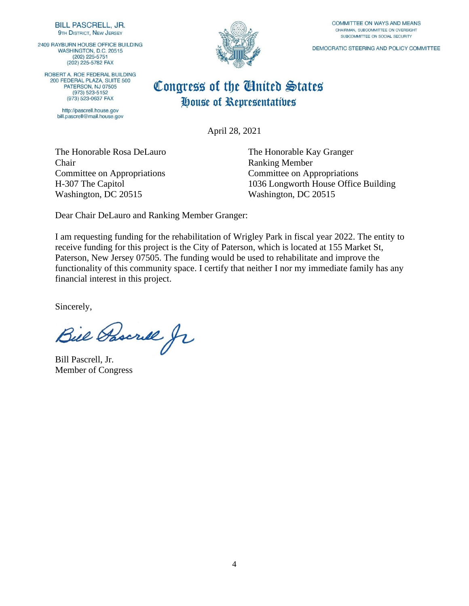2409 RAYBURN HOUSE OFFICE BUILDING WASHINGTON, D.C. 20515  $(202)$  225-5751 (202) 225-5782 FAX

ROBERT A. ROE FEDERAL BUILDING 200 FEDERAL PLAZA, SUITE 500 PATERSON, NJ 07505  $(973) 523 - 5152$ (973) 523-0637 FAX

> http://pascrell.house.gov bill.pascrell@mail.house.gov



COMMITTEE ON WAYS AND MEANS CHAIRMAN, SUBCOMMITTEE ON OVERSIGHT SUBCOMMITTEE ON SOCIAL SECURITY

DEMOCRATIC STEERING AND POLICY COMMITTEE

# Congress of the United States House of Representatives

April 28, 2021

Chair Ranking Member Committee on Appropriations Committee on Appropriations Washington, DC 20515 Washington, DC 20515

The Honorable Rosa DeLauro The Honorable Kay Granger H-307 The Capitol 1036 Longworth House Office Building

Dear Chair DeLauro and Ranking Member Granger:

I am requesting funding for the rehabilitation of Wrigley Park in fiscal year 2022. The entity to receive funding for this project is the City of Paterson, which is located at 155 Market St, Paterson, New Jersey 07505. The funding would be used to rehabilitate and improve the functionality of this community space. I certify that neither I nor my immediate family has any financial interest in this project.

Bill Pascrill Jr

Bill Pascrell, Jr. Member of Congress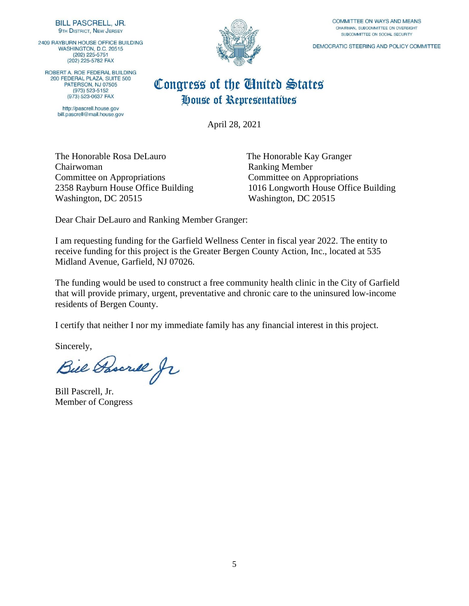2409 RAYBURN HOUSE OFFICE BUILDING WASHINGTON, D.C. 20515  $(202)$  225-5751 (202) 225-5782 FAX

ROBERT A. ROE FEDERAL BUILDING 200 FEDERAL PLAZA, SUITE 500 PATERSON, NJ 07505 (973) 523-5152 (973) 523-0637 FAX

> http://pascrell.house.gov bill.pascrell@mail.house.gov



COMMITTEE ON WAYS AND MEANS CHAIRMAN, SUBCOMMITTEE ON OVERSIGHT SUBCOMMITTEE ON SOCIAL SECURITY

DEMOCRATIC STEERING AND POLICY COMMITTEE

### Congress of the United States House of Representatives

April 28, 2021

The Honorable Rosa DeLauro The Honorable Kay Granger Chairwoman Ranking Member Committee on Appropriations Committee on Appropriations Washington, DC 20515 Washington, DC 20515

2358 Rayburn House Office Building 1016 Longworth House Office Building

Dear Chair DeLauro and Ranking Member Granger:

I am requesting funding for the Garfield Wellness Center in fiscal year 2022. The entity to receive funding for this project is the Greater Bergen County Action, Inc., located at 535 Midland Avenue, Garfield, NJ 07026.

The funding would be used to construct a free community health clinic in the City of Garfield that will provide primary, urgent, preventative and chronic care to the uninsured low-income residents of Bergen County.

I certify that neither I nor my immediate family has any financial interest in this project.

Bill Pascrill Jr

Bill Pascrell, Jr. Member of Congress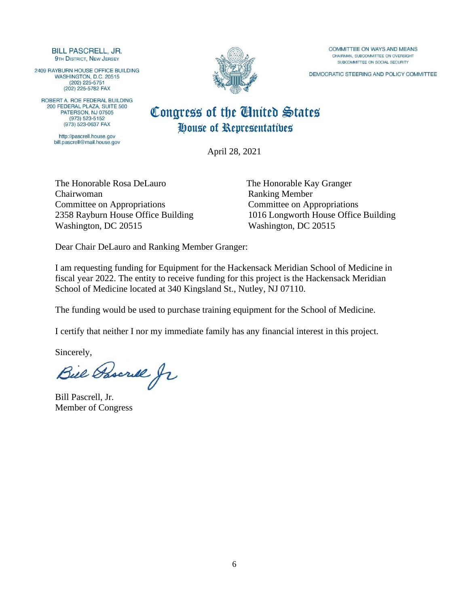2409 RAYBURN HOUSE OFFICE BUILDING WASHINGTON, D.C. 20515  $(202)$  225-5751 (202) 225-5782 FAX

ROBERT A. ROE FEDERAL BUILDING<br>200 FEDERAL PLAZA, SUITE 500 **PATERSON NJ 07505**  $(973) 523 - 5152$ (973) 523-0637 FAX

> http://pascrell.house.gov bill.pascrell@mail.house.gov



COMMITTEE ON WAYS AND MEANS CHAIRMAN, SUBCOMMITTEE ON OVERSIGHT SUBCOMMITTEE ON SOCIAL SECURITY

DEMOCRATIC STEERING AND POLICY COMMITTEE

### Congress of the United States House of Representatives

April 28, 2021

The Honorable Rosa DeLauro The Honorable Kay Granger Chairwoman Ranking Member Committee on Appropriations Committee on Appropriations Washington, DC 20515 Washington, DC 20515

2358 Rayburn House Office Building 1016 Longworth House Office Building

Dear Chair DeLauro and Ranking Member Granger:

I am requesting funding for Equipment for the Hackensack Meridian School of Medicine in fiscal year 2022. The entity to receive funding for this project is the Hackensack Meridian School of Medicine located at 340 Kingsland St., Nutley, NJ 07110.

The funding would be used to purchase training equipment for the School of Medicine.

I certify that neither I nor my immediate family has any financial interest in this project.

Bill Pascrill fr

Bill Pascrell, Jr. Member of Congress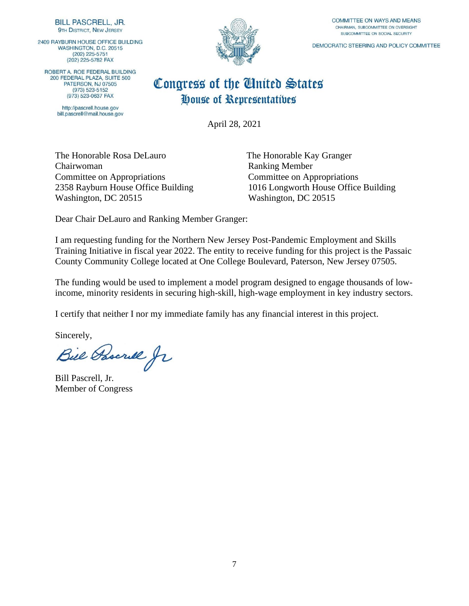2409 RAYBURN HOUSE OFFICE BUILDING WASHINGTON, D.C. 20515 (202) 225-5751 (202) 225-5782 FAX

ROBERT A. ROE FEDERAL BUILDING 200 FEDERAL PLAZA, SUITE 500 **PATERSON NJ 07505**  $(973) 523 - 5152$ (973) 523-0637 FAX

> http://pascrell.house.gov bill.pascrell@mail.house.gov



COMMITTEE ON WAYS AND MEANS CHAIRMAN, SUBCOMMITTEE ON OVERSIGHT SUBCOMMITTEE ON SOCIAL SECURITY

DEMOCRATIC STEERING AND POLICY COMMITTEE

### Congress of the United States House of Representatives

April 28, 2021

The Honorable Rosa DeLauro The Honorable Kay Granger Chairwoman Ranking Member Committee on Appropriations Committee on Appropriations Washington, DC 20515 Washington, DC 20515

2358 Rayburn House Office Building 1016 Longworth House Office Building

Dear Chair DeLauro and Ranking Member Granger:

I am requesting funding for the Northern New Jersey Post-Pandemic Employment and Skills Training Initiative in fiscal year 2022. The entity to receive funding for this project is the Passaic County Community College located at One College Boulevard, Paterson, New Jersey 07505.

The funding would be used to implement a model program designed to engage thousands of lowincome, minority residents in securing high-skill, high-wage employment in key industry sectors.

I certify that neither I nor my immediate family has any financial interest in this project.

Sincerely,<br>Bill Pascrill fr

Bill Pascrell, Jr. Member of Congress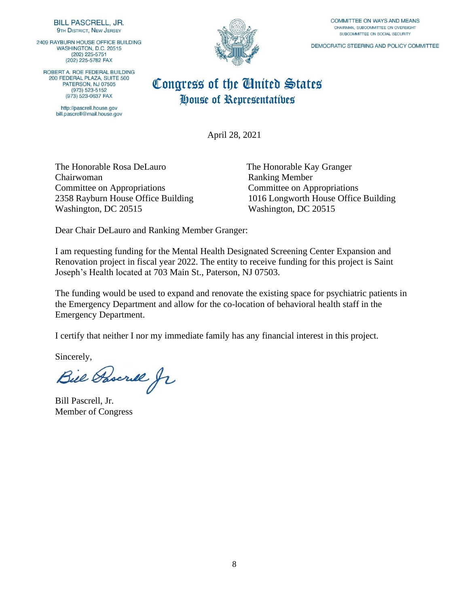2409 RAYBURN HOUSE OFFICE BUILDING WASHINGTON, D.C. 20515  $(202)$  225-5751 (202) 225-5782 FAX

ROBERT A. ROE FEDERAL BUILDING 200 FEDERAL PLAZA, SUITE 500 PATERSON, NJ 07505  $(973) 523 - 5152$ (973) 523-0637 FAX

> http://pascrell.house.gov bill.pascrell@mail.house.gov



COMMITTEE ON WAYS AND MEANS CHAIRMAN, SUBCOMMITTEE ON OVERSIGHT SUBCOMMITTEE ON SOCIAL SECURITY

DEMOCRATIC STEERING AND POLICY COMMITTEE

### Congress of the United States House of Representatives

April 28, 2021

The Honorable Rosa DeLauro The Honorable Kay Granger Chairwoman Ranking Member Committee on Appropriations Committee on Appropriations Washington, DC 20515 Washington, DC 20515

2358 Rayburn House Office Building 1016 Longworth House Office Building

Dear Chair DeLauro and Ranking Member Granger:

I am requesting funding for the Mental Health Designated Screening Center Expansion and Renovation project in fiscal year 2022. The entity to receive funding for this project is Saint Joseph's Health located at 703 Main St., Paterson, NJ 07503.

The funding would be used to expand and renovate the existing space for psychiatric patients in the Emergency Department and allow for the co-location of behavioral health staff in the Emergency Department.

I certify that neither I nor my immediate family has any financial interest in this project.

Bill Pascrill fr

Bill Pascrell, Jr. Member of Congress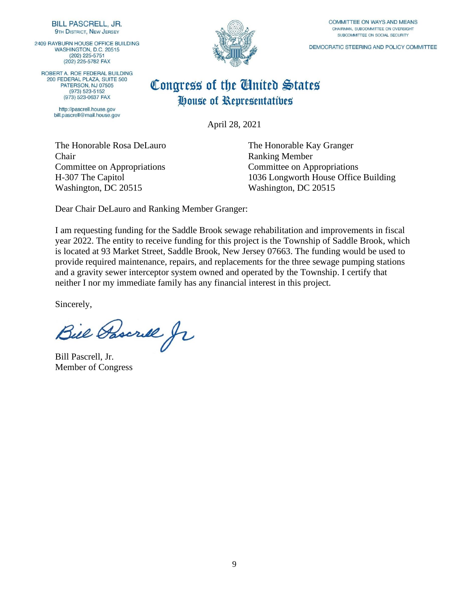2409 RAYBURN HOUSE OFFICE BUILDING WASHINGTON, D.C. 20515  $(202)$   $225 - 5751$ (202) 225-5782 FAX

ROBERT A. ROE FEDERAL BUILDING 200 FEDERAL PLAZA, SUITE 500 PATERSON, NJ 07505 (973) 523-5152 (973) 523-0637 FAX

> http://pascrell.house.gov bill.pascrell@mail.house.gov



COMMITTEE ON WAYS AND MEANS CHAIRMAN, SUBCOMMITTEE ON OVERSIGHT SUBCOMMITTEE ON SOCIAL SECURITY

DEMOCRATIC STEERING AND POLICY COMMITTEE

## Congress of the United States House of Representatives

April 28, 2021

The Honorable Rosa DeLauro The Honorable Kay Granger **Chair** Ranking Member Committee on Appropriations Committee on Appropriations Washington, DC 20515 Washington, DC 20515

H-307 The Capitol 1036 Longworth House Office Building

Dear Chair DeLauro and Ranking Member Granger:

I am requesting funding for the Saddle Brook sewage rehabilitation and improvements in fiscal year 2022. The entity to receive funding for this project is the Township of Saddle Brook, which is located at 93 Market Street, Saddle Brook, New Jersey 07663. The funding would be used to provide required maintenance, repairs, and replacements for the three sewage pumping stations and a gravity sewer interceptor system owned and operated by the Township. I certify that neither I nor my immediate family has any financial interest in this project.

Bill Pascrill Jr

Bill Pascrell, Jr. Member of Congress